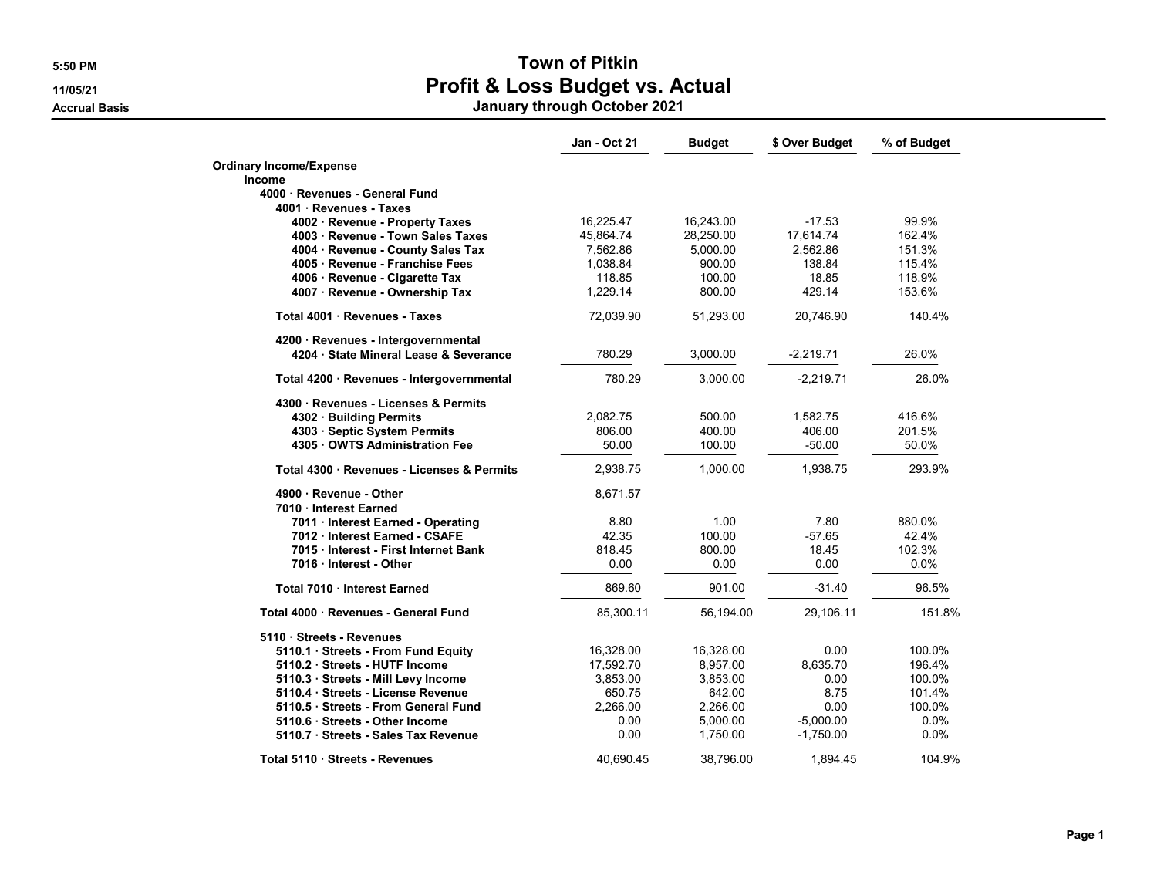Accrual Basis January through October 2021

|                                            | <b>Jan - Oct 21</b> | <b>Budget</b> | \$ Over Budget | % of Budget |
|--------------------------------------------|---------------------|---------------|----------------|-------------|
| <b>Ordinary Income/Expense</b>             |                     |               |                |             |
| Income                                     |                     |               |                |             |
| 4000 · Revenues - General Fund             |                     |               |                |             |
| 4001 Revenues - Taxes                      |                     |               |                |             |
| 4002 · Revenue - Property Taxes            | 16,225.47           | 16,243.00     | $-17.53$       | 99.9%       |
| 4003 · Revenue - Town Sales Taxes          | 45,864.74           | 28,250.00     | 17,614.74      | 162.4%      |
| 4004 · Revenue - County Sales Tax          | 7,562.86            | 5,000.00      | 2,562.86       | 151.3%      |
| 4005 · Revenue - Franchise Fees            | 1,038.84            | 900.00        | 138.84         | 115.4%      |
| 4006 · Revenue - Cigarette Tax             | 118.85              | 100.00        | 18.85          | 118.9%      |
| 4007 · Revenue - Ownership Tax             | 1,229.14            | 800.00        | 429.14         | 153.6%      |
| Total 4001 · Revenues - Taxes              | 72,039.90           | 51,293.00     | 20,746.90      | 140.4%      |
| 4200 · Revenues - Intergovernmental        |                     |               |                |             |
| 4204 · State Mineral Lease & Severance     | 780.29              | 3,000.00      | $-2,219.71$    | 26.0%       |
| Total 4200 · Revenues - Intergovernmental  | 780.29              | 3,000.00      | $-2,219.71$    | 26.0%       |
| 4300 · Revenues - Licenses & Permits       |                     |               |                |             |
| 4302 · Building Permits                    | 2,082.75            | 500.00        | 1,582.75       | 416.6%      |
| 4303 · Septic System Permits               | 806.00              | 400.00        | 406.00         | 201.5%      |
| 4305 OWTS Administration Fee               | 50.00               | 100.00        | $-50.00$       | 50.0%       |
| Total 4300 · Revenues - Licenses & Permits | 2,938.75            | 1,000.00      | 1,938.75       | 293.9%      |
| 4900 Revenue - Other                       | 8,671.57            |               |                |             |
| 7010 Interest Earned                       |                     |               |                |             |
| 7011 Interest Earned - Operating           | 8.80                | 1.00          | 7.80           | 880.0%      |
| 7012 Interest Earned - CSAFE               | 42.35               | 100.00        | $-57.65$       | 42.4%       |
| 7015 Interest - First Internet Bank        | 818.45              | 800.00        | 18.45          | 102.3%      |
| 7016 Interest - Other                      | 0.00                | 0.00          | 0.00           | $0.0\%$     |
| Total 7010 · Interest Earned               | 869.60              | 901.00        | $-31.40$       | 96.5%       |
| Total 4000 · Revenues - General Fund       | 85,300.11           | 56,194.00     | 29,106.11      | 151.8%      |
| 5110 · Streets - Revenues                  |                     |               |                |             |
| 5110.1 Streets - From Fund Equity          | 16,328.00           | 16,328.00     | 0.00           | 100.0%      |
| 5110.2 · Streets - HUTF Income             | 17,592.70           | 8,957.00      | 8,635.70       | 196.4%      |
| 5110.3 · Streets - Mill Levy Income        | 3,853.00            | 3,853.00      | 0.00           | 100.0%      |
| 5110.4 · Streets - License Revenue         | 650.75              | 642.00        | 8.75           | 101.4%      |
| 5110.5 Streets - From General Fund         | 2,266.00            | 2,266.00      | 0.00           | 100.0%      |
| 5110.6 · Streets - Other Income            | 0.00                | 5,000.00      | $-5,000.00$    | 0.0%        |
| 5110.7 · Streets - Sales Tax Revenue       | 0.00                | 1,750.00      | $-1,750.00$    | 0.0%        |
| Total 5110 · Streets - Revenues            | 40,690.45           | 38,796.00     | 1,894.45       | 104.9%      |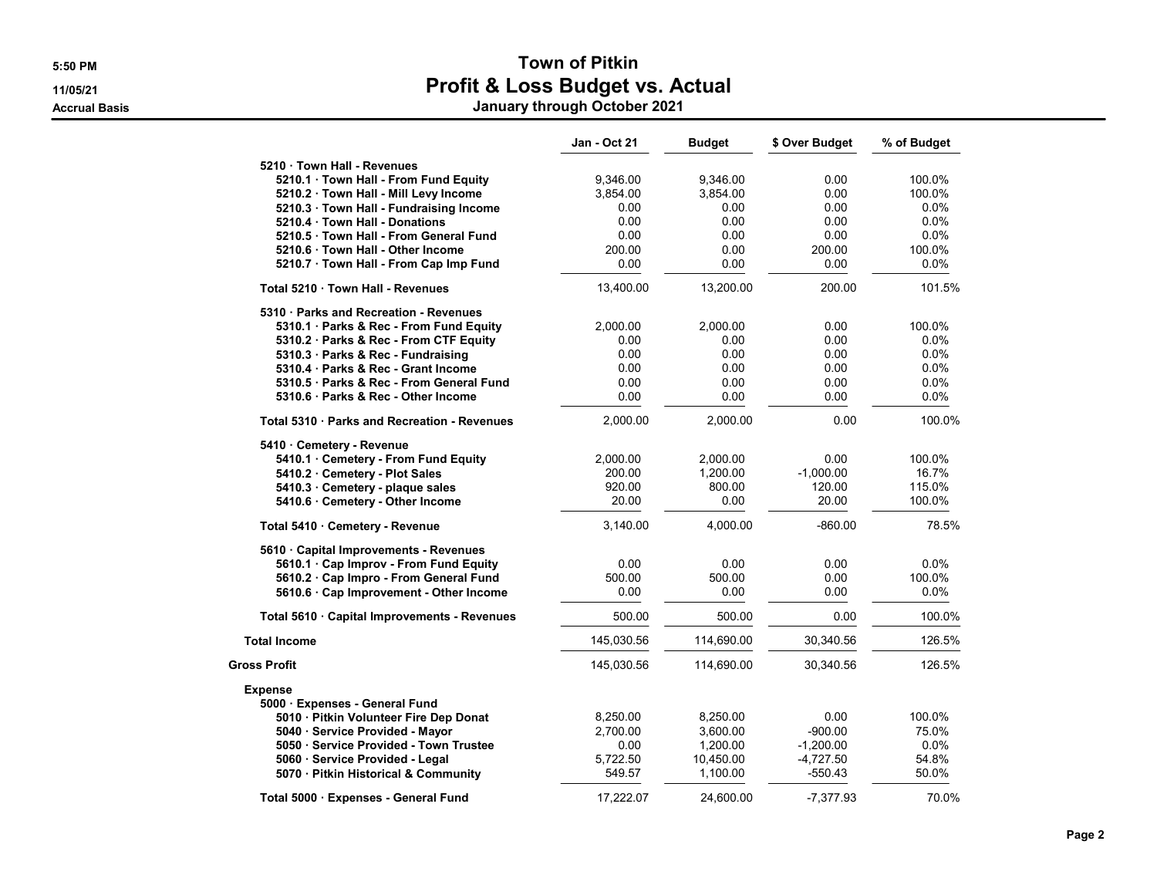Accrual Basis January through October 2021

|                                              | Jan - Oct 21 | <b>Budget</b> | \$ Over Budget | % of Budget |
|----------------------------------------------|--------------|---------------|----------------|-------------|
| 5210 Town Hall - Revenues                    |              |               |                |             |
| 5210.1 · Town Hall - From Fund Equity        | 9,346.00     | 9.346.00      | 0.00           | 100.0%      |
| 5210.2 · Town Hall - Mill Levy Income        | 3,854.00     | 3,854.00      | 0.00           | 100.0%      |
| 5210.3 · Town Hall - Fundraising Income      | 0.00         | 0.00          | 0.00           | 0.0%        |
| 5210.4 Town Hall - Donations                 | 0.00         | 0.00          | 0.00           | $0.0\%$     |
| 5210.5 Town Hall - From General Fund         | 0.00         | 0.00          | 0.00           | 0.0%        |
| 5210.6 Town Hall - Other Income              | 200.00       | 0.00          | 200.00         | 100.0%      |
| 5210.7 · Town Hall - From Cap Imp Fund       | 0.00         | 0.00          | 0.00           | 0.0%        |
| Total 5210 Town Hall - Revenues              | 13,400.00    | 13,200.00     | 200.00         | 101.5%      |
| 5310 · Parks and Recreation - Revenues       |              |               |                |             |
| 5310.1 · Parks & Rec - From Fund Equity      | 2,000.00     | 2,000.00      | 0.00           | 100.0%      |
| 5310.2 Parks & Rec - From CTF Equity         | 0.00         | 0.00          | 0.00           | $0.0\%$     |
| 5310.3 Parks & Rec - Fundraising             | 0.00         | 0.00          | 0.00           | $0.0\%$     |
| 5310.4 Parks & Rec - Grant Income            | 0.00         | 0.00          | 0.00           | 0.0%        |
| 5310.5 · Parks & Rec - From General Fund     | 0.00         | 0.00          | 0.00           | 0.0%        |
| 5310.6 Parks & Rec - Other Income            | 0.00         | 0.00          | 0.00           | 0.0%        |
| Total 5310 · Parks and Recreation - Revenues | 2,000.00     | 2,000.00      | 0.00           | 100.0%      |
| 5410 Cemetery - Revenue                      |              |               |                |             |
| 5410.1 Cemetery - From Fund Equity           | 2,000.00     | 2,000.00      | 0.00           | 100.0%      |
| 5410.2 · Cemetery - Plot Sales               | 200.00       | 1,200.00      | $-1,000.00$    | 16.7%       |
| 5410.3 · Cemetery - plaque sales             | 920.00       | 800.00        | 120.00         | 115.0%      |
| 5410.6 · Cemetery - Other Income             | 20.00        | 0.00          | 20.00          | 100.0%      |
| Total 5410 · Cemetery - Revenue              | 3,140.00     | 4,000.00      | $-860.00$      | 78.5%       |
| 5610 · Capital Improvements - Revenues       |              |               |                |             |
| 5610.1 · Cap Improv - From Fund Equity       | 0.00         | 0.00          | 0.00           | 0.0%        |
| 5610.2 · Cap Impro - From General Fund       | 500.00       | 500.00        | 0.00           | 100.0%      |
| 5610.6 · Cap Improvement - Other Income      | 0.00         | 0.00          | 0.00           | $0.0\%$     |
| Total 5610 · Capital Improvements - Revenues | 500.00       | 500.00        | 0.00           | 100.0%      |
| <b>Total Income</b>                          | 145,030.56   | 114,690.00    | 30,340.56      | 126.5%      |
| <b>Gross Profit</b>                          | 145,030.56   | 114,690.00    | 30,340.56      | 126.5%      |
| <b>Expense</b>                               |              |               |                |             |
| 5000 · Expenses - General Fund               |              |               |                |             |
| 5010 · Pitkin Volunteer Fire Dep Donat       | 8,250.00     | 8,250.00      | 0.00           | 100.0%      |
| 5040 · Service Provided - Mayor              | 2,700.00     | 3,600.00      | $-900.00$      | 75.0%       |
| 5050 · Service Provided - Town Trustee       | 0.00         | 1,200.00      | $-1,200.00$    | 0.0%        |
| 5060 · Service Provided - Legal              | 5,722.50     | 10,450.00     | $-4,727.50$    | 54.8%       |
| 5070 · Pitkin Historical & Community         | 549.57       | 1,100.00      | $-550.43$      | 50.0%       |
| Total 5000 · Expenses - General Fund         | 17.222.07    | 24.600.00     | -7.377.93      | 70.0%       |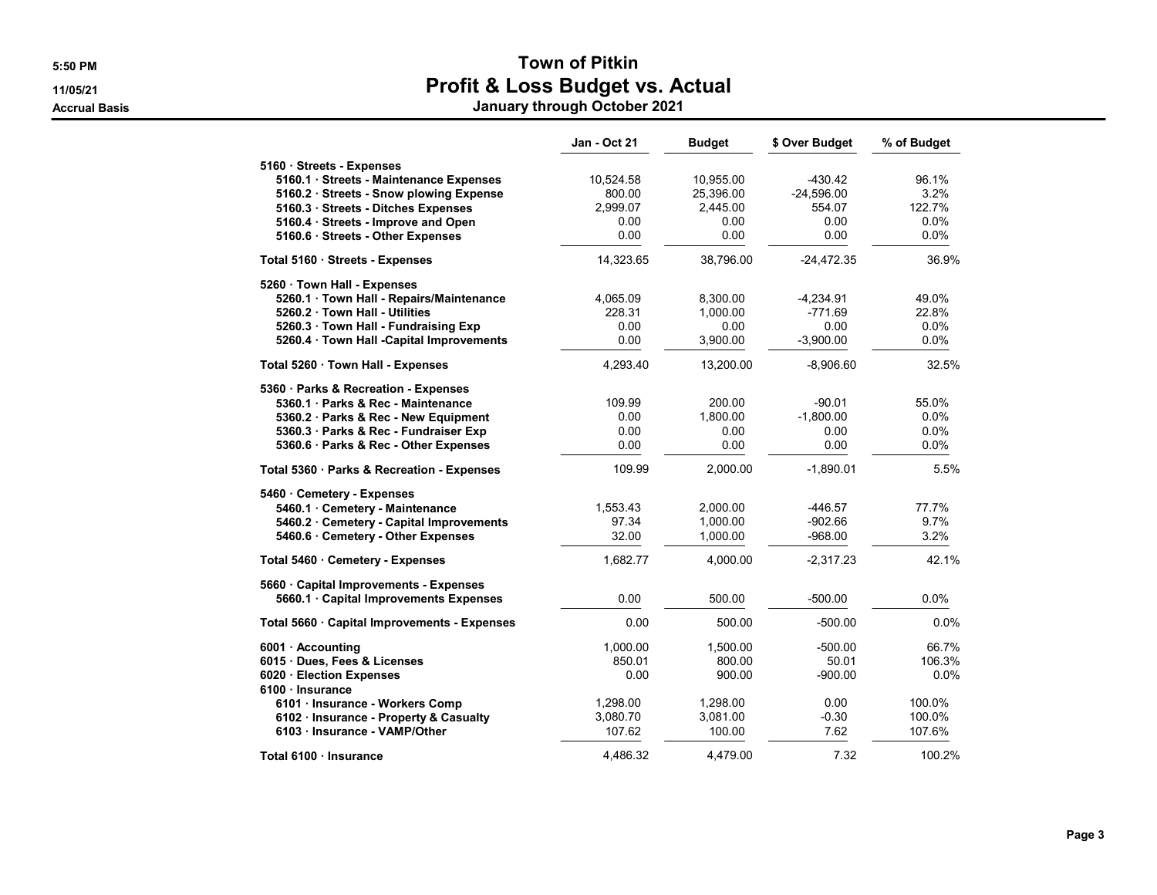Accrual Basis January through October 2021

|                                              | Jan - Oct 21 | <b>Budget</b> | \$ Over Budget | % of Budget |
|----------------------------------------------|--------------|---------------|----------------|-------------|
| 5160 Streets - Expenses                      |              |               |                |             |
| 5160.1 · Streets - Maintenance Expenses      | 10,524.58    | 10,955.00     | $-430.42$      | 96.1%       |
| 5160.2 · Streets - Snow plowing Expense      | 800.00       | 25,396.00     | $-24,596.00$   | 3.2%        |
| 5160.3 · Streets - Ditches Expenses          | 2,999.07     | 2,445.00      | 554.07         | 122.7%      |
| 5160.4 · Streets - Improve and Open          | 0.00         | 0.00          | 0.00           | 0.0%        |
| 5160.6 · Streets - Other Expenses            | 0.00         | 0.00          | 0.00           | 0.0%        |
| Total 5160 Streets - Expenses                | 14,323.65    | 38,796.00     | $-24,472.35$   | 36.9%       |
| 5260 · Town Hall - Expenses                  |              |               |                |             |
| 5260.1 Town Hall - Repairs/Maintenance       | 4,065.09     | 8,300.00      | $-4,234.91$    | 49.0%       |
| 5260.2 Town Hall - Utilities                 | 228.31       | 1.000.00      | $-771.69$      | 22.8%       |
| 5260.3 Town Hall - Fundraising Exp           | 0.00         | 0.00          | 0.00           | $0.0\%$     |
| 5260.4 · Town Hall -Capital Improvements     | 0.00         | 3,900.00      | $-3,900.00$    | $0.0\%$     |
| Total 5260 · Town Hall - Expenses            | 4,293.40     | 13,200.00     | $-8,906.60$    | 32.5%       |
| 5360 · Parks & Recreation - Expenses         |              |               |                |             |
| 5360.1 Parks & Rec - Maintenance             | 109.99       | 200.00        | $-90.01$       | 55.0%       |
| 5360.2 · Parks & Rec - New Equipment         | 0.00         | 1,800.00      | $-1,800.00$    | $0.0\%$     |
| 5360.3 Parks & Rec - Fundraiser Exp          | 0.00         | 0.00          | 0.00           | 0.0%        |
| 5360.6 · Parks & Rec - Other Expenses        | 0.00         | 0.00          | 0.00           | 0.0%        |
| Total 5360 · Parks & Recreation - Expenses   | 109.99       | 2,000.00      | $-1,890.01$    | 5.5%        |
| 5460 Cemetery - Expenses                     |              |               |                |             |
| 5460.1 Cemetery - Maintenance                | 1,553.43     | 2,000.00      | -446.57        | 77.7%       |
| 5460.2 Cemetery - Capital Improvements       | 97.34        | 1,000.00      | $-902.66$      | 9.7%        |
| 5460.6 · Cemetery - Other Expenses           | 32.00        | 1,000.00      | $-968.00$      | 3.2%        |
| Total 5460 · Cemetery - Expenses             | 1,682.77     | 4,000.00      | $-2,317.23$    | 42.1%       |
| 5660 · Capital Improvements - Expenses       |              |               |                |             |
| 5660.1 · Capital Improvements Expenses       | 0.00         | 500.00        | $-500.00$      | $0.0\%$     |
| Total 5660 · Capital Improvements - Expenses | 0.00         | 500.00        | $-500.00$      | 0.0%        |
| 6001 · Accounting                            | 1,000.00     | 1,500.00      | $-500.00$      | 66.7%       |
| 6015 · Dues, Fees & Licenses                 | 850.01       | 800.00        | 50.01          | 106.3%      |
| 6020 Election Expenses<br>6100 · Insurance   | 0.00         | 900.00        | $-900.00$      | 0.0%        |
| 6101 · Insurance - Workers Comp              | 1,298.00     | 1,298.00      | 0.00           | 100.0%      |
| 6102 · Insurance - Property & Casualty       | 3,080.70     | 3,081.00      | $-0.30$        | 100.0%      |
| 6103 · Insurance - VAMP/Other                | 107.62       | 100.00        | 7.62           | 107.6%      |
| Total 6100 · Insurance                       | 4,486.32     | 4,479.00      | 7.32           | 100.2%      |